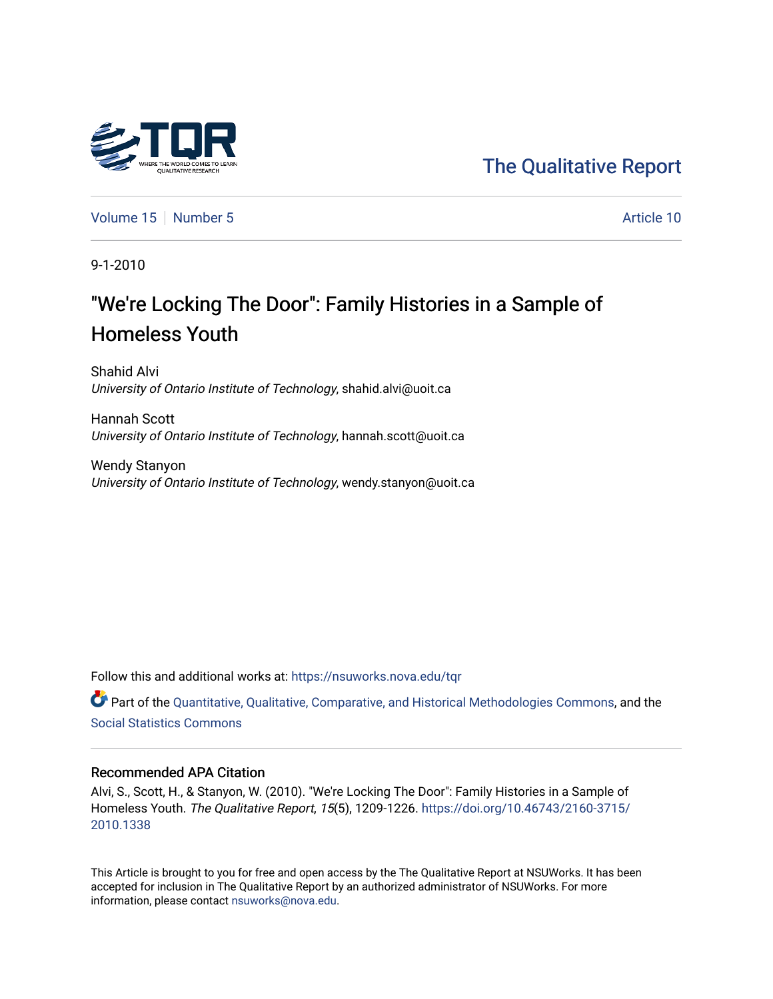

[Volume 15](https://nsuworks.nova.edu/tqr/vol15) [Number 5](https://nsuworks.nova.edu/tqr/vol15/iss5) Article 10

9-1-2010

# "We're Locking The Door": Family Histories in a Sample of Homeless Youth

Shahid Alvi University of Ontario Institute of Technology, shahid.alvi@uoit.ca

Hannah Scott University of Ontario Institute of Technology, hannah.scott@uoit.ca

Wendy Stanyon University of Ontario Institute of Technology, wendy.stanyon@uoit.ca

Follow this and additional works at: [https://nsuworks.nova.edu/tqr](https://nsuworks.nova.edu/tqr?utm_source=nsuworks.nova.edu%2Ftqr%2Fvol15%2Fiss5%2F10&utm_medium=PDF&utm_campaign=PDFCoverPages) 

Part of the [Quantitative, Qualitative, Comparative, and Historical Methodologies Commons,](http://network.bepress.com/hgg/discipline/423?utm_source=nsuworks.nova.edu%2Ftqr%2Fvol15%2Fiss5%2F10&utm_medium=PDF&utm_campaign=PDFCoverPages) and the [Social Statistics Commons](http://network.bepress.com/hgg/discipline/1275?utm_source=nsuworks.nova.edu%2Ftqr%2Fvol15%2Fiss5%2F10&utm_medium=PDF&utm_campaign=PDFCoverPages) 

#### Recommended APA Citation

Alvi, S., Scott, H., & Stanyon, W. (2010). "We're Locking The Door": Family Histories in a Sample of Homeless Youth. The Qualitative Report, 15(5), 1209-1226. [https://doi.org/10.46743/2160-3715/](https://doi.org/10.46743/2160-3715/2010.1338) [2010.1338](https://doi.org/10.46743/2160-3715/2010.1338) 

This Article is brought to you for free and open access by the The Qualitative Report at NSUWorks. It has been accepted for inclusion in The Qualitative Report by an authorized administrator of NSUWorks. For more information, please contact [nsuworks@nova.edu.](mailto:nsuworks@nova.edu)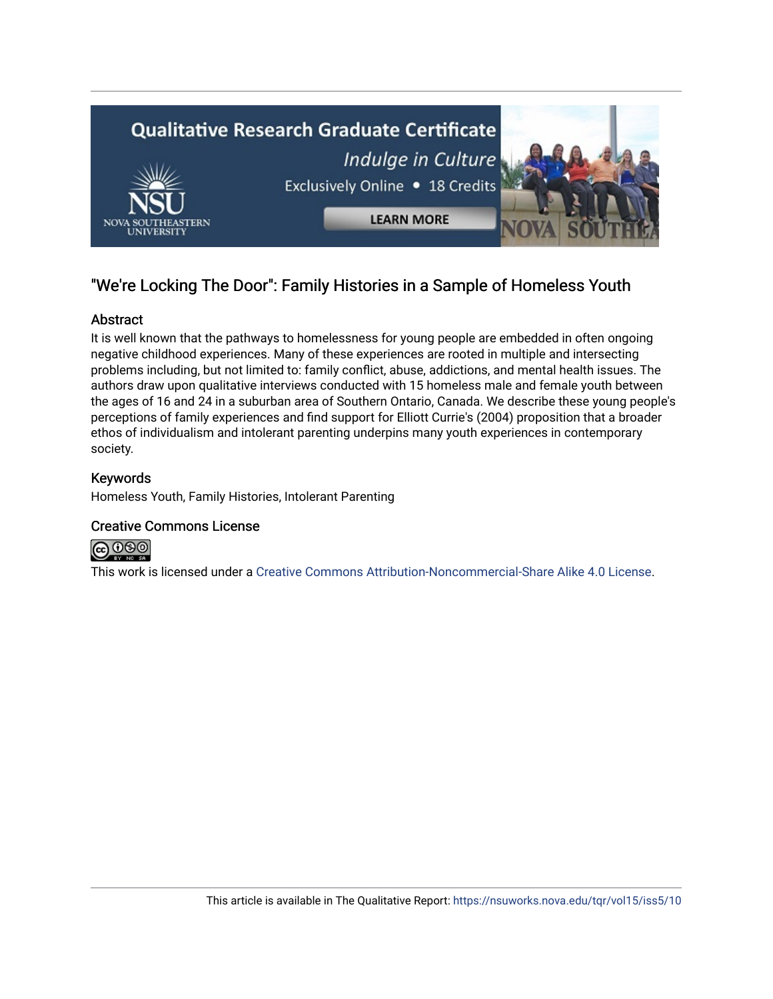

# "We're Locking The Door": Family Histories in a Sample of Homeless Youth

# Abstract

It is well known that the pathways to homelessness for young people are embedded in often ongoing negative childhood experiences. Many of these experiences are rooted in multiple and intersecting problems including, but not limited to: family conflict, abuse, addictions, and mental health issues. The authors draw upon qualitative interviews conducted with 15 homeless male and female youth between the ages of 16 and 24 in a suburban area of Southern Ontario, Canada. We describe these young people's perceptions of family experiences and find support for Elliott Currie's (2004) proposition that a broader ethos of individualism and intolerant parenting underpins many youth experiences in contemporary society.

## Keywords

Homeless Youth, Family Histories, Intolerant Parenting

### Creative Commons License



This work is licensed under a [Creative Commons Attribution-Noncommercial-Share Alike 4.0 License](https://creativecommons.org/licenses/by-nc-sa/4.0/).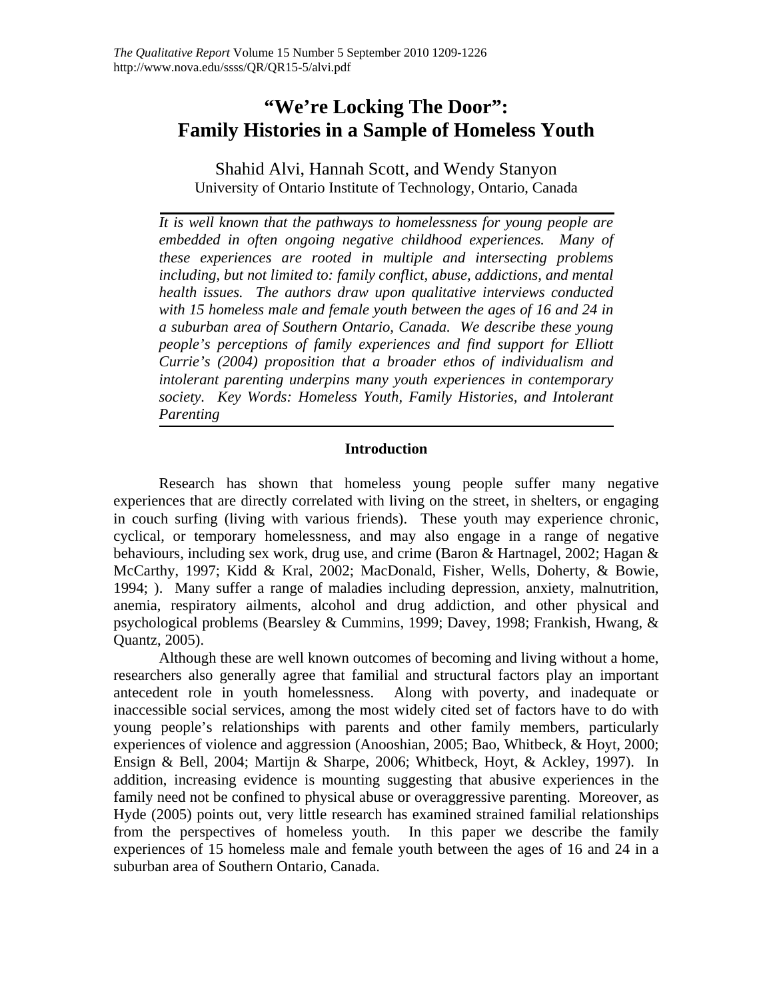# **"We're Locking The Door": Family Histories in a Sample of Homeless Youth**

Shahid Alvi, Hannah Scott, and Wendy Stanyon University of Ontario Institute of Technology, Ontario, Canada

*It is well known that the pathways to homelessness for young people are embedded in often ongoing negative childhood experiences. Many of these experiences are rooted in multiple and intersecting problems including, but not limited to: family conflict, abuse, addictions, and mental health issues. The authors draw upon qualitative interviews conducted with 15 homeless male and female youth between the ages of 16 and 24 in a suburban area of Southern Ontario, Canada. We describe these young people's perceptions of family experiences and find support for Elliott Currie's (2004) proposition that a broader ethos of individualism and intolerant parenting underpins many youth experiences in contemporary society. Key Words: Homeless Youth, Family Histories, and Intolerant Parenting* 

### **Introduction**

Research has shown that homeless young people suffer many negative experiences that are directly correlated with living on the street, in shelters, or engaging in couch surfing (living with various friends). These youth may experience chronic, cyclical, or temporary homelessness, and may also engage in a range of negative behaviours, including sex work, drug use, and crime (Baron & Hartnagel, 2002; Hagan & McCarthy, 1997; Kidd & Kral, 2002; MacDonald, Fisher, Wells, Doherty, & Bowie, 1994; ). Many suffer a range of maladies including depression, anxiety, malnutrition, anemia, respiratory ailments, alcohol and drug addiction, and other physical and psychological problems (Bearsley & Cummins, 1999; Davey, 1998; Frankish, Hwang, & Quantz, 2005).

Although these are well known outcomes of becoming and living without a home, researchers also generally agree that familial and structural factors play an important antecedent role in youth homelessness. Along with poverty, and inadequate or inaccessible social services, among the most widely cited set of factors have to do with young people's relationships with parents and other family members, particularly experiences of violence and aggression (Anooshian, 2005; Bao, Whitbeck, & Hoyt, 2000; Ensign & Bell, 2004; Martijn & Sharpe, 2006; Whitbeck, Hoyt, & Ackley, 1997). In addition, increasing evidence is mounting suggesting that abusive experiences in the family need not be confined to physical abuse or overaggressive parenting. Moreover, as Hyde (2005) points out, very little research has examined strained familial relationships from the perspectives of homeless youth. In this paper we describe the family experiences of 15 homeless male and female youth between the ages of 16 and 24 in a suburban area of Southern Ontario, Canada.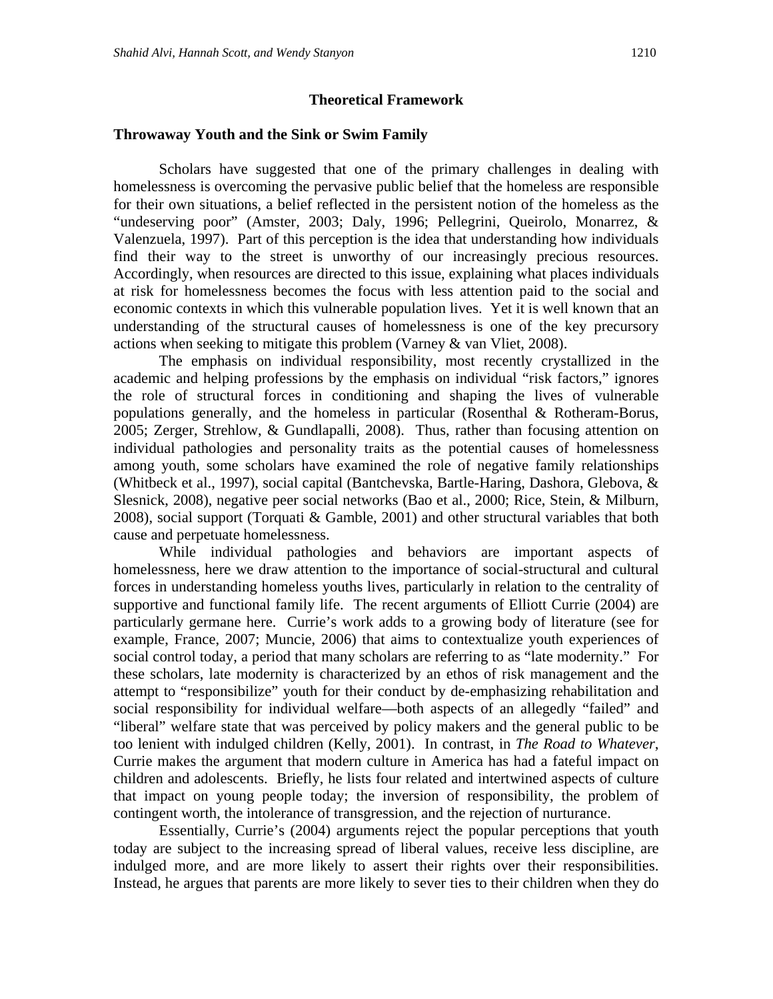#### **Theoretical Framework**

#### **Throwaway Youth and the Sink or Swim Family**

Scholars have suggested that one of the primary challenges in dealing with homelessness is overcoming the pervasive public belief that the homeless are responsible for their own situations, a belief reflected in the persistent notion of the homeless as the "undeserving poor" (Amster, 2003; Daly, 1996; Pellegrini, Queirolo, Monarrez, & Valenzuela, 1997). Part of this perception is the idea that understanding how individuals find their way to the street is unworthy of our increasingly precious resources. Accordingly, when resources are directed to this issue, explaining what places individuals at risk for homelessness becomes the focus with less attention paid to the social and economic contexts in which this vulnerable population lives. Yet it is well known that an understanding of the structural causes of homelessness is one of the key precursory actions when seeking to mitigate this problem (Varney & van Vliet, 2008).

The emphasis on individual responsibility, most recently crystallized in the academic and helping professions by the emphasis on individual "risk factors," ignores the role of structural forces in conditioning and shaping the lives of vulnerable populations generally, and the homeless in particular (Rosenthal & Rotheram-Borus, 2005; Zerger, Strehlow, & Gundlapalli, 2008). Thus, rather than focusing attention on individual pathologies and personality traits as the potential causes of homelessness among youth, some scholars have examined the role of negative family relationships (Whitbeck et al., 1997), social capital (Bantchevska, Bartle-Haring, Dashora, Glebova, & Slesnick, 2008), negative peer social networks (Bao et al., 2000; Rice, Stein, & Milburn, 2008), social support (Torquati & Gamble, 2001) and other structural variables that both cause and perpetuate homelessness.

While individual pathologies and behaviors are important aspects of homelessness, here we draw attention to the importance of social-structural and cultural forces in understanding homeless youths lives, particularly in relation to the centrality of supportive and functional family life. The recent arguments of Elliott Currie (2004) are particularly germane here. Currie's work adds to a growing body of literature (see for example, France, 2007; Muncie, 2006) that aims to contextualize youth experiences of social control today, a period that many scholars are referring to as "late modernity." For these scholars, late modernity is characterized by an ethos of risk management and the attempt to "responsibilize" youth for their conduct by de-emphasizing rehabilitation and social responsibility for individual welfare—both aspects of an allegedly "failed" and "liberal" welfare state that was perceived by policy makers and the general public to be too lenient with indulged children (Kelly, 2001). In contrast, in *The Road to Whatever*, Currie makes the argument that modern culture in America has had a fateful impact on children and adolescents. Briefly, he lists four related and intertwined aspects of culture that impact on young people today; the inversion of responsibility, the problem of contingent worth, the intolerance of transgression, and the rejection of nurturance.

Essentially, Currie's (2004) arguments reject the popular perceptions that youth today are subject to the increasing spread of liberal values, receive less discipline, are indulged more, and are more likely to assert their rights over their responsibilities. Instead, he argues that parents are more likely to sever ties to their children when they do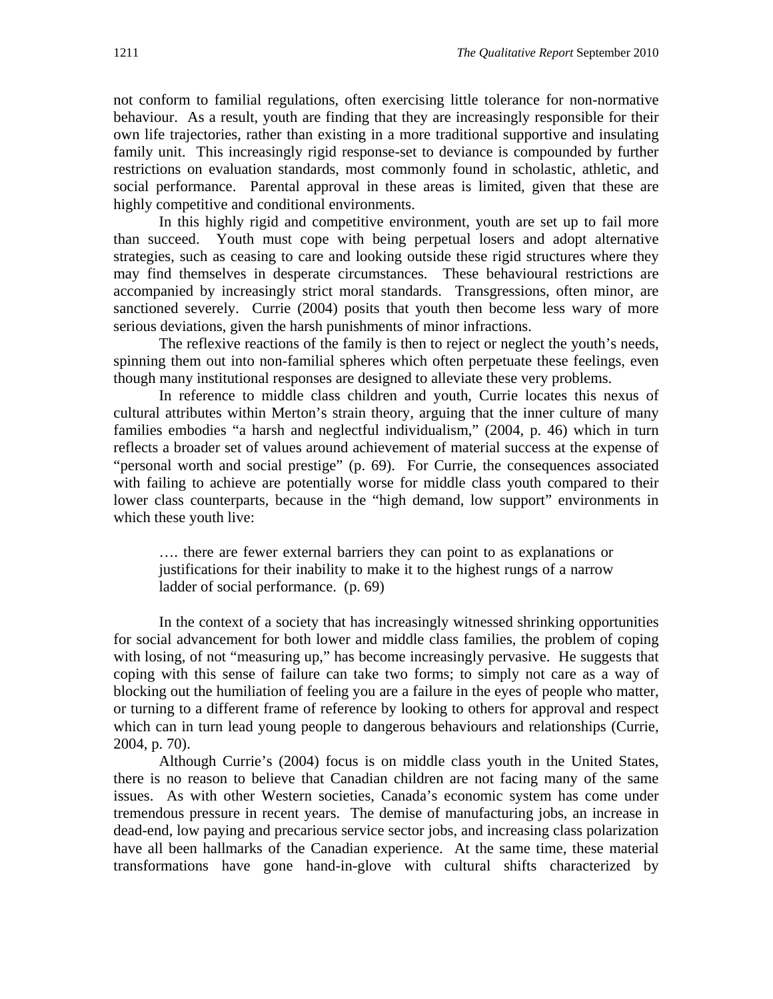not conform to familial regulations, often exercising little tolerance for non-normative behaviour. As a result, youth are finding that they are increasingly responsible for their own life trajectories, rather than existing in a more traditional supportive and insulating family unit. This increasingly rigid response-set to deviance is compounded by further restrictions on evaluation standards, most commonly found in scholastic, athletic, and social performance. Parental approval in these areas is limited, given that these are highly competitive and conditional environments.

In this highly rigid and competitive environment, youth are set up to fail more than succeed. Youth must cope with being perpetual losers and adopt alternative strategies, such as ceasing to care and looking outside these rigid structures where they may find themselves in desperate circumstances. These behavioural restrictions are accompanied by increasingly strict moral standards. Transgressions, often minor, are sanctioned severely. Currie (2004) posits that youth then become less wary of more serious deviations, given the harsh punishments of minor infractions.

The reflexive reactions of the family is then to reject or neglect the youth's needs, spinning them out into non-familial spheres which often perpetuate these feelings, even though many institutional responses are designed to alleviate these very problems.

In reference to middle class children and youth, Currie locates this nexus of cultural attributes within Merton's strain theory, arguing that the inner culture of many families embodies "a harsh and neglectful individualism," (2004, p. 46) which in turn reflects a broader set of values around achievement of material success at the expense of "personal worth and social prestige" (p. 69). For Currie, the consequences associated with failing to achieve are potentially worse for middle class youth compared to their lower class counterparts, because in the "high demand, low support" environments in which these youth live:

…. there are fewer external barriers they can point to as explanations or justifications for their inability to make it to the highest rungs of a narrow ladder of social performance. (p. 69)

In the context of a society that has increasingly witnessed shrinking opportunities for social advancement for both lower and middle class families, the problem of coping with losing, of not "measuring up," has become increasingly pervasive. He suggests that coping with this sense of failure can take two forms; to simply not care as a way of blocking out the humiliation of feeling you are a failure in the eyes of people who matter, or turning to a different frame of reference by looking to others for approval and respect which can in turn lead young people to dangerous behaviours and relationships (Currie, 2004, p. 70).

Although Currie's (2004) focus is on middle class youth in the United States, there is no reason to believe that Canadian children are not facing many of the same issues. As with other Western societies, Canada's economic system has come under tremendous pressure in recent years. The demise of manufacturing jobs, an increase in dead-end, low paying and precarious service sector jobs, and increasing class polarization have all been hallmarks of the Canadian experience. At the same time, these material transformations have gone hand-in-glove with cultural shifts characterized by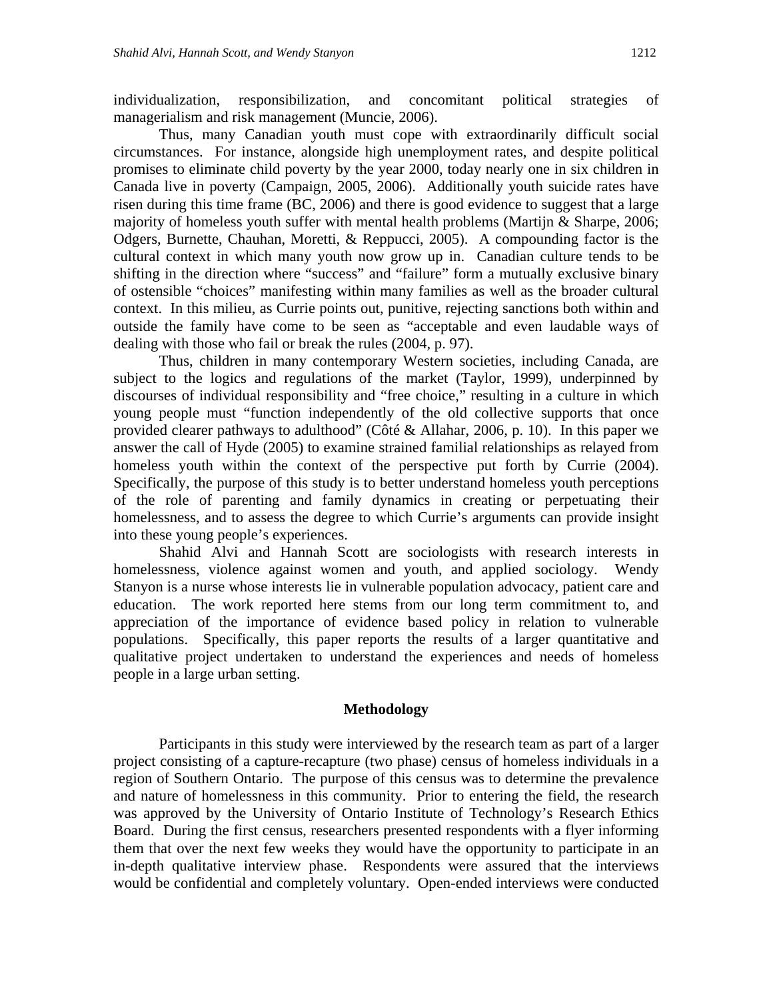individualization, responsibilization, and concomitant political strategies of managerialism and risk management (Muncie, 2006).

Thus, many Canadian youth must cope with extraordinarily difficult social circumstances. For instance, alongside high unemployment rates, and despite political promises to eliminate child poverty by the year 2000, today nearly one in six children in Canada live in poverty (Campaign, 2005, 2006). Additionally youth suicide rates have risen during this time frame (BC, 2006) and there is good evidence to suggest that a large majority of homeless youth suffer with mental health problems (Martijn & Sharpe, 2006; Odgers, Burnette, Chauhan, Moretti, & Reppucci, 2005). A compounding factor is the cultural context in which many youth now grow up in. Canadian culture tends to be shifting in the direction where "success" and "failure" form a mutually exclusive binary of ostensible "choices" manifesting within many families as well as the broader cultural context. In this milieu, as Currie points out, punitive, rejecting sanctions both within and outside the family have come to be seen as "acceptable and even laudable ways of dealing with those who fail or break the rules (2004, p. 97).

Thus, children in many contemporary Western societies, including Canada, are subject to the logics and regulations of the market (Taylor, 1999), underpinned by discourses of individual responsibility and "free choice," resulting in a culture in which young people must "function independently of the old collective supports that once provided clearer pathways to adulthood" (Côté & Allahar, 2006, p. 10). In this paper we answer the call of Hyde (2005) to examine strained familial relationships as relayed from homeless youth within the context of the perspective put forth by Currie (2004). Specifically, the purpose of this study is to better understand homeless youth perceptions of the role of parenting and family dynamics in creating or perpetuating their homelessness, and to assess the degree to which Currie's arguments can provide insight into these young people's experiences.

Shahid Alvi and Hannah Scott are sociologists with research interests in homelessness, violence against women and youth, and applied sociology. Wendy Stanyon is a nurse whose interests lie in vulnerable population advocacy, patient care and education. The work reported here stems from our long term commitment to, and appreciation of the importance of evidence based policy in relation to vulnerable populations. Specifically, this paper reports the results of a larger quantitative and qualitative project undertaken to understand the experiences and needs of homeless people in a large urban setting.

#### **Methodology**

Participants in this study were interviewed by the research team as part of a larger project consisting of a capture-recapture (two phase) census of homeless individuals in a region of Southern Ontario. The purpose of this census was to determine the prevalence and nature of homelessness in this community. Prior to entering the field, the research was approved by the University of Ontario Institute of Technology's Research Ethics Board. During the first census, researchers presented respondents with a flyer informing them that over the next few weeks they would have the opportunity to participate in an in-depth qualitative interview phase. Respondents were assured that the interviews would be confidential and completely voluntary. Open-ended interviews were conducted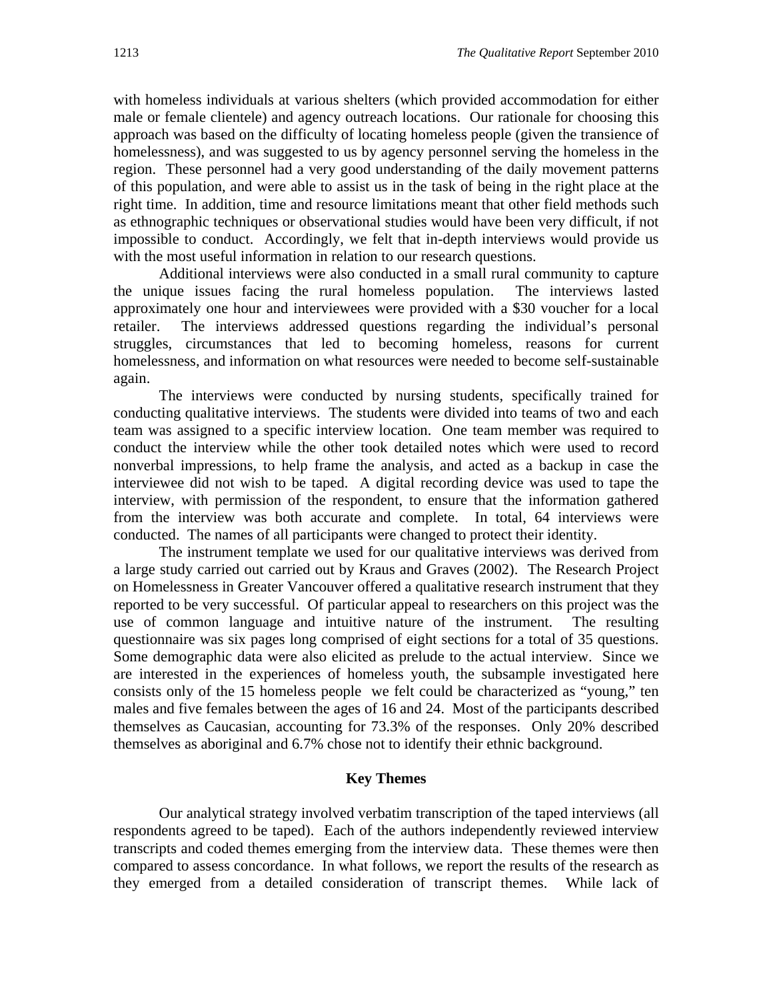with homeless individuals at various shelters (which provided accommodation for either male or female clientele) and agency outreach locations. Our rationale for choosing this approach was based on the difficulty of locating homeless people (given the transience of homelessness), and was suggested to us by agency personnel serving the homeless in the region. These personnel had a very good understanding of the daily movement patterns of this population, and were able to assist us in the task of being in the right place at the right time. In addition, time and resource limitations meant that other field methods such as ethnographic techniques or observational studies would have been very difficult, if not impossible to conduct. Accordingly, we felt that in-depth interviews would provide us with the most useful information in relation to our research questions.

Additional interviews were also conducted in a small rural community to capture the unique issues facing the rural homeless population. The interviews lasted approximately one hour and interviewees were provided with a \$30 voucher for a local retailer. The interviews addressed questions regarding the individual's personal struggles, circumstances that led to becoming homeless, reasons for current homelessness, and information on what resources were needed to become self-sustainable again.

The interviews were conducted by nursing students, specifically trained for conducting qualitative interviews. The students were divided into teams of two and each team was assigned to a specific interview location. One team member was required to conduct the interview while the other took detailed notes which were used to record nonverbal impressions, to help frame the analysis, and acted as a backup in case the interviewee did not wish to be taped. A digital recording device was used to tape the interview, with permission of the respondent, to ensure that the information gathered from the interview was both accurate and complete. In total, 64 interviews were conducted. The names of all participants were changed to protect their identity.

The instrument template we used for our qualitative interviews was derived from a large study carried out carried out by Kraus and Graves (2002). The Research Project on Homelessness in Greater Vancouver offered a qualitative research instrument that they reported to be very successful. Of particular appeal to researchers on this project was the use of common language and intuitive nature of the instrument. The resulting questionnaire was six pages long comprised of eight sections for a total of 35 questions. Some demographic data were also elicited as prelude to the actual interview. Since we are interested in the experiences of homeless youth, the subsample investigated here consists only of the 15 homeless people we felt could be characterized as "young," ten males and five females between the ages of 16 and 24. Most of the participants described themselves as Caucasian, accounting for 73.3% of the responses. Only 20% described themselves as aboriginal and 6.7% chose not to identify their ethnic background.

#### **Key Themes**

Our analytical strategy involved verbatim transcription of the taped interviews (all respondents agreed to be taped). Each of the authors independently reviewed interview transcripts and coded themes emerging from the interview data. These themes were then compared to assess concordance. In what follows, we report the results of the research as they emerged from a detailed consideration of transcript themes. While lack of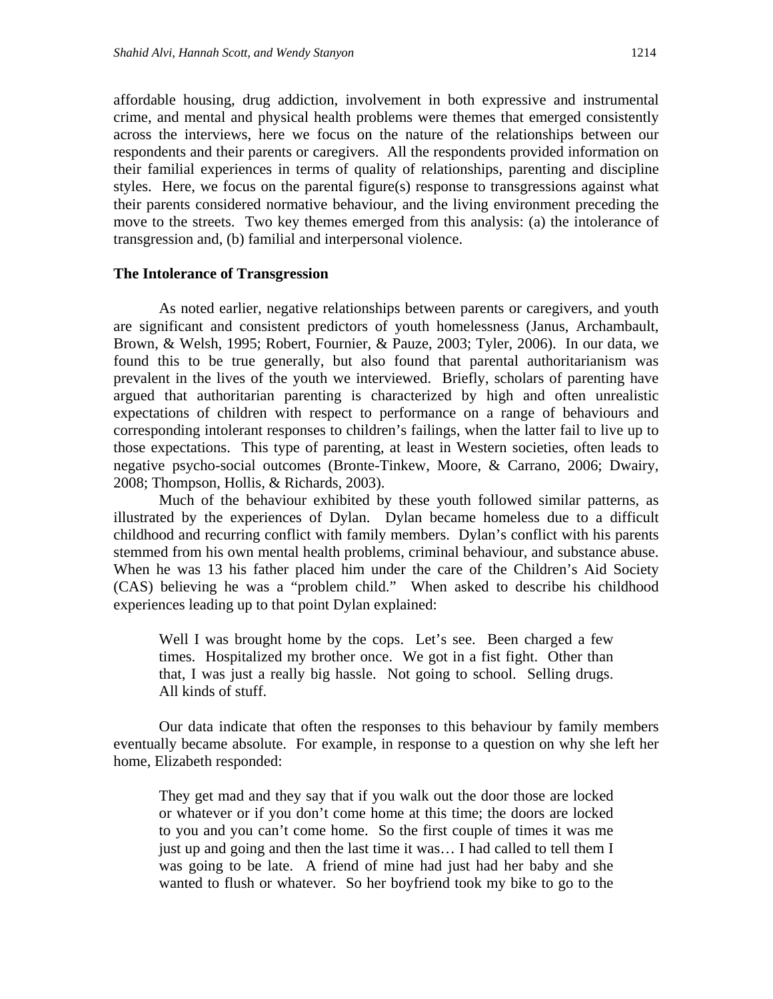affordable housing, drug addiction, involvement in both expressive and instrumental crime, and mental and physical health problems were themes that emerged consistently across the interviews, here we focus on the nature of the relationships between our respondents and their parents or caregivers. All the respondents provided information on their familial experiences in terms of quality of relationships, parenting and discipline styles. Here, we focus on the parental figure(s) response to transgressions against what their parents considered normative behaviour, and the living environment preceding the move to the streets. Two key themes emerged from this analysis: (a) the intolerance of transgression and, (b) familial and interpersonal violence.

#### **The Intolerance of Transgression**

 As noted earlier, negative relationships between parents or caregivers, and youth are significant and consistent predictors of youth homelessness (Janus, Archambault, Brown, & Welsh, 1995; Robert, Fournier, & Pauze, 2003; Tyler, 2006). In our data, we found this to be true generally, but also found that parental authoritarianism was prevalent in the lives of the youth we interviewed. Briefly, scholars of parenting have argued that authoritarian parenting is characterized by high and often unrealistic expectations of children with respect to performance on a range of behaviours and corresponding intolerant responses to children's failings, when the latter fail to live up to those expectations. This type of parenting, at least in Western societies, often leads to negative psycho-social outcomes (Bronte-Tinkew, Moore, & Carrano, 2006; Dwairy, 2008; Thompson, Hollis, & Richards, 2003).

Much of the behaviour exhibited by these youth followed similar patterns, as illustrated by the experiences of Dylan. Dylan became homeless due to a difficult childhood and recurring conflict with family members. Dylan's conflict with his parents stemmed from his own mental health problems, criminal behaviour, and substance abuse. When he was 13 his father placed him under the care of the Children's Aid Society (CAS) believing he was a "problem child." When asked to describe his childhood experiences leading up to that point Dylan explained:

Well I was brought home by the cops. Let's see. Been charged a few times. Hospitalized my brother once. We got in a fist fight. Other than that, I was just a really big hassle. Not going to school. Selling drugs. All kinds of stuff.

Our data indicate that often the responses to this behaviour by family members eventually became absolute. For example, in response to a question on why she left her home, Elizabeth responded:

They get mad and they say that if you walk out the door those are locked or whatever or if you don't come home at this time; the doors are locked to you and you can't come home. So the first couple of times it was me just up and going and then the last time it was… I had called to tell them I was going to be late. A friend of mine had just had her baby and she wanted to flush or whatever. So her boyfriend took my bike to go to the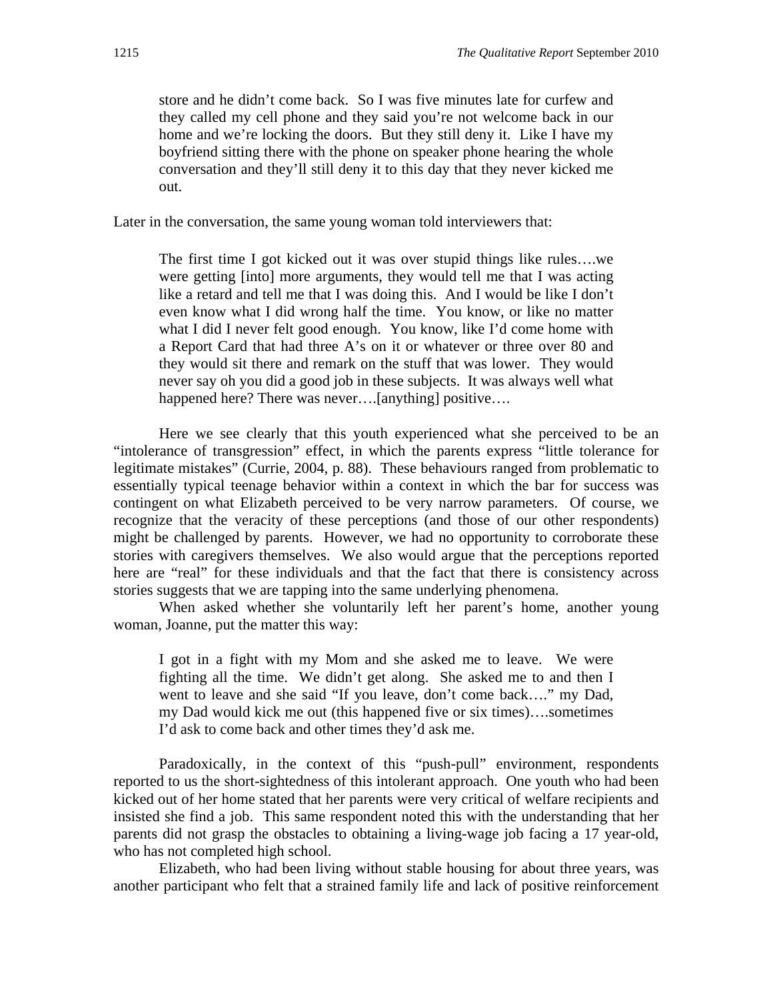store and he didn't come back. So I was five minutes late for curfew and they called my cell phone and they said you're not welcome back in our home and we're locking the doors. But they still deny it. Like I have my boyfriend sitting there with the phone on speaker phone hearing the whole conversation and they'll still deny it to this day that they never kicked me out.

Later in the conversation, the same young woman told interviewers that:

The first time I got kicked out it was over stupid things like rules….we were getting [into] more arguments, they would tell me that I was acting like a retard and tell me that I was doing this. And I would be like I don't even know what I did wrong half the time. You know, or like no matter what I did I never felt good enough. You know, like I'd come home with a Report Card that had three A's on it or whatever or three over 80 and they would sit there and remark on the stuff that was lower. They would never say oh you did a good job in these subjects. It was always well what happened here? There was never....[anything] positive....

 Here we see clearly that this youth experienced what she perceived to be an "intolerance of transgression" effect, in which the parents express "little tolerance for legitimate mistakes" (Currie, 2004, p. 88). These behaviours ranged from problematic to essentially typical teenage behavior within a context in which the bar for success was contingent on what Elizabeth perceived to be very narrow parameters. Of course, we recognize that the veracity of these perceptions (and those of our other respondents) might be challenged by parents. However, we had no opportunity to corroborate these stories with caregivers themselves. We also would argue that the perceptions reported here are "real" for these individuals and that the fact that there is consistency across stories suggests that we are tapping into the same underlying phenomena.

 When asked whether she voluntarily left her parent's home, another young woman, Joanne, put the matter this way:

I got in a fight with my Mom and she asked me to leave. We were fighting all the time. We didn't get along. She asked me to and then I went to leave and she said "If you leave, don't come back…." my Dad, my Dad would kick me out (this happened five or six times)….sometimes I'd ask to come back and other times they'd ask me.

Paradoxically, in the context of this "push-pull" environment, respondents reported to us the short-sightedness of this intolerant approach. One youth who had been kicked out of her home stated that her parents were very critical of welfare recipients and insisted she find a job. This same respondent noted this with the understanding that her parents did not grasp the obstacles to obtaining a living-wage job facing a 17 year-old, who has not completed high school.

Elizabeth, who had been living without stable housing for about three years, was another participant who felt that a strained family life and lack of positive reinforcement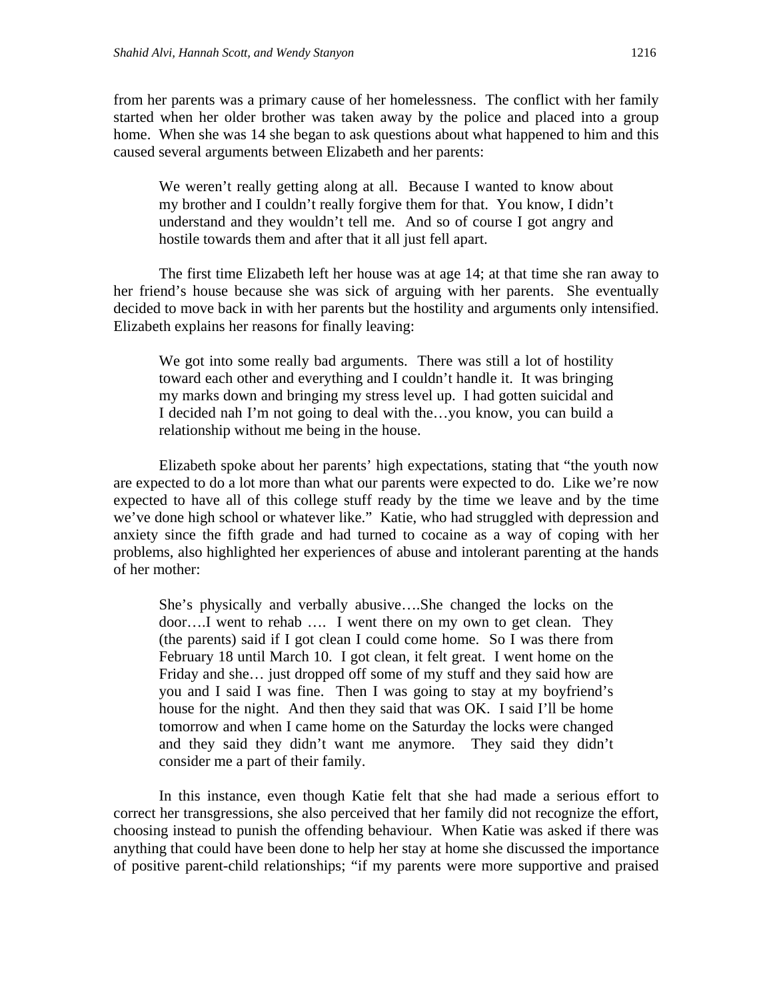from her parents was a primary cause of her homelessness. The conflict with her family started when her older brother was taken away by the police and placed into a group home. When she was 14 she began to ask questions about what happened to him and this caused several arguments between Elizabeth and her parents:

We weren't really getting along at all. Because I wanted to know about my brother and I couldn't really forgive them for that. You know, I didn't understand and they wouldn't tell me. And so of course I got angry and hostile towards them and after that it all just fell apart.

The first time Elizabeth left her house was at age 14; at that time she ran away to her friend's house because she was sick of arguing with her parents. She eventually decided to move back in with her parents but the hostility and arguments only intensified. Elizabeth explains her reasons for finally leaving:

We got into some really bad arguments. There was still a lot of hostility toward each other and everything and I couldn't handle it. It was bringing my marks down and bringing my stress level up. I had gotten suicidal and I decided nah I'm not going to deal with the…you know, you can build a relationship without me being in the house.

Elizabeth spoke about her parents' high expectations, stating that "the youth now are expected to do a lot more than what our parents were expected to do. Like we're now expected to have all of this college stuff ready by the time we leave and by the time we've done high school or whatever like." Katie, who had struggled with depression and anxiety since the fifth grade and had turned to cocaine as a way of coping with her problems, also highlighted her experiences of abuse and intolerant parenting at the hands of her mother:

She's physically and verbally abusive….She changed the locks on the door….I went to rehab …. I went there on my own to get clean. They (the parents) said if I got clean I could come home. So I was there from February 18 until March 10. I got clean, it felt great. I went home on the Friday and she... just dropped off some of my stuff and they said how are you and I said I was fine. Then I was going to stay at my boyfriend's house for the night. And then they said that was OK. I said I'll be home tomorrow and when I came home on the Saturday the locks were changed and they said they didn't want me anymore. They said they didn't consider me a part of their family.

In this instance, even though Katie felt that she had made a serious effort to correct her transgressions, she also perceived that her family did not recognize the effort, choosing instead to punish the offending behaviour. When Katie was asked if there was anything that could have been done to help her stay at home she discussed the importance of positive parent-child relationships; "if my parents were more supportive and praised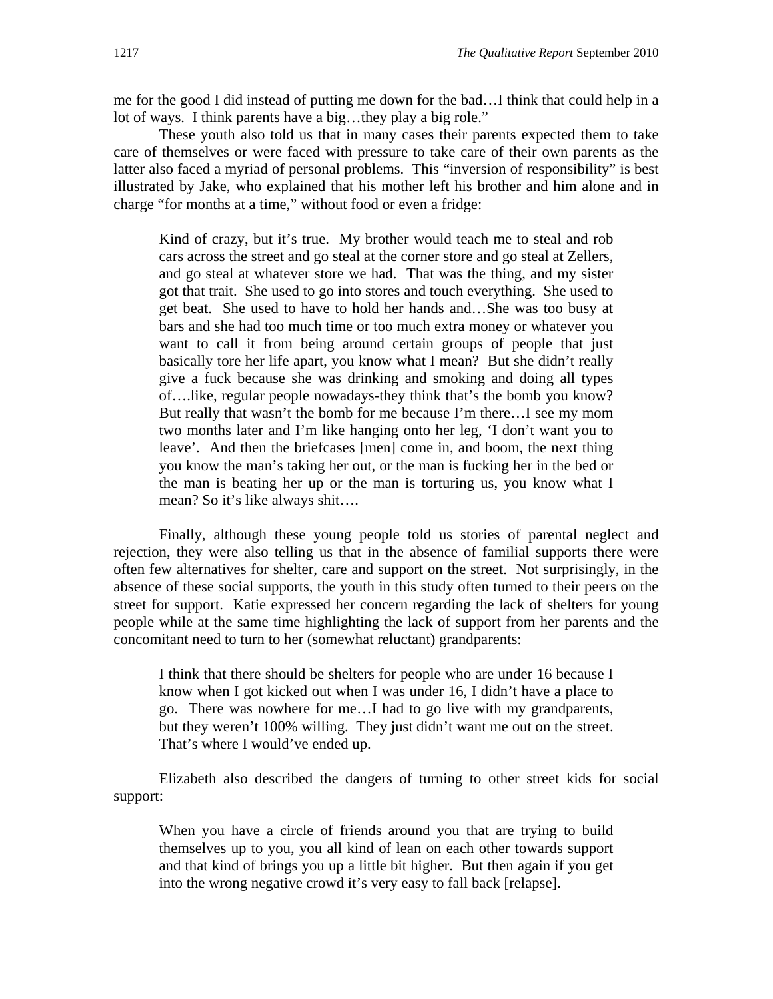me for the good I did instead of putting me down for the bad…I think that could help in a lot of ways. I think parents have a big…they play a big role."

These youth also told us that in many cases their parents expected them to take care of themselves or were faced with pressure to take care of their own parents as the latter also faced a myriad of personal problems. This "inversion of responsibility" is best illustrated by Jake, who explained that his mother left his brother and him alone and in charge "for months at a time," without food or even a fridge:

Kind of crazy, but it's true. My brother would teach me to steal and rob cars across the street and go steal at the corner store and go steal at Zellers, and go steal at whatever store we had. That was the thing, and my sister got that trait. She used to go into stores and touch everything. She used to get beat. She used to have to hold her hands and…She was too busy at bars and she had too much time or too much extra money or whatever you want to call it from being around certain groups of people that just basically tore her life apart, you know what I mean? But she didn't really give a fuck because she was drinking and smoking and doing all types of….like, regular people nowadays-they think that's the bomb you know? But really that wasn't the bomb for me because I'm there…I see my mom two months later and I'm like hanging onto her leg, 'I don't want you to leave'. And then the briefcases [men] come in, and boom, the next thing you know the man's taking her out, or the man is fucking her in the bed or the man is beating her up or the man is torturing us, you know what I mean? So it's like always shit….

 Finally, although these young people told us stories of parental neglect and rejection, they were also telling us that in the absence of familial supports there were often few alternatives for shelter, care and support on the street. Not surprisingly, in the absence of these social supports, the youth in this study often turned to their peers on the street for support. Katie expressed her concern regarding the lack of shelters for young people while at the same time highlighting the lack of support from her parents and the concomitant need to turn to her (somewhat reluctant) grandparents:

I think that there should be shelters for people who are under 16 because I know when I got kicked out when I was under 16, I didn't have a place to go. There was nowhere for me…I had to go live with my grandparents, but they weren't 100% willing. They just didn't want me out on the street. That's where I would've ended up.

Elizabeth also described the dangers of turning to other street kids for social support:

When you have a circle of friends around you that are trying to build themselves up to you, you all kind of lean on each other towards support and that kind of brings you up a little bit higher. But then again if you get into the wrong negative crowd it's very easy to fall back [relapse].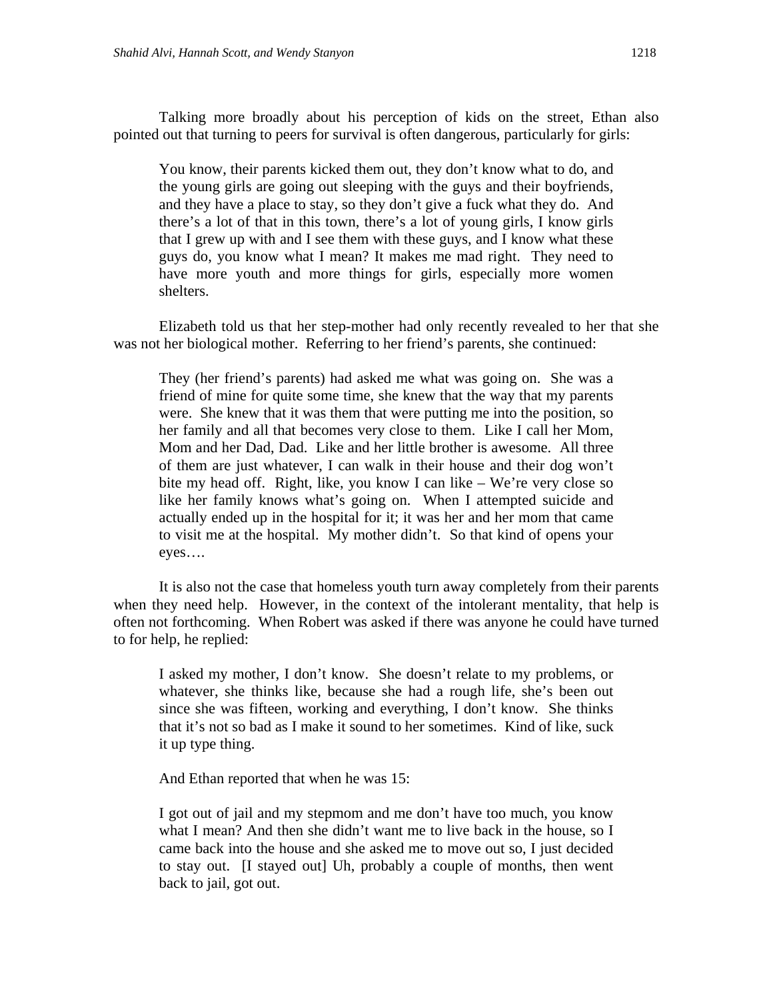Talking more broadly about his perception of kids on the street, Ethan also pointed out that turning to peers for survival is often dangerous, particularly for girls:

You know, their parents kicked them out, they don't know what to do, and the young girls are going out sleeping with the guys and their boyfriends, and they have a place to stay, so they don't give a fuck what they do. And there's a lot of that in this town, there's a lot of young girls, I know girls that I grew up with and I see them with these guys, and I know what these guys do, you know what I mean? It makes me mad right. They need to have more youth and more things for girls, especially more women shelters.

Elizabeth told us that her step-mother had only recently revealed to her that she was not her biological mother. Referring to her friend's parents, she continued:

They (her friend's parents) had asked me what was going on. She was a friend of mine for quite some time, she knew that the way that my parents were. She knew that it was them that were putting me into the position, so her family and all that becomes very close to them. Like I call her Mom, Mom and her Dad, Dad. Like and her little brother is awesome. All three of them are just whatever, I can walk in their house and their dog won't bite my head off. Right, like, you know I can like – We're very close so like her family knows what's going on. When I attempted suicide and actually ended up in the hospital for it; it was her and her mom that came to visit me at the hospital. My mother didn't. So that kind of opens your eyes….

It is also not the case that homeless youth turn away completely from their parents when they need help. However, in the context of the intolerant mentality, that help is often not forthcoming. When Robert was asked if there was anyone he could have turned to for help, he replied:

I asked my mother, I don't know. She doesn't relate to my problems, or whatever, she thinks like, because she had a rough life, she's been out since she was fifteen, working and everything, I don't know. She thinks that it's not so bad as I make it sound to her sometimes. Kind of like, suck it up type thing.

And Ethan reported that when he was 15:

I got out of jail and my stepmom and me don't have too much, you know what I mean? And then she didn't want me to live back in the house, so I came back into the house and she asked me to move out so, I just decided to stay out. [I stayed out] Uh, probably a couple of months, then went back to jail, got out.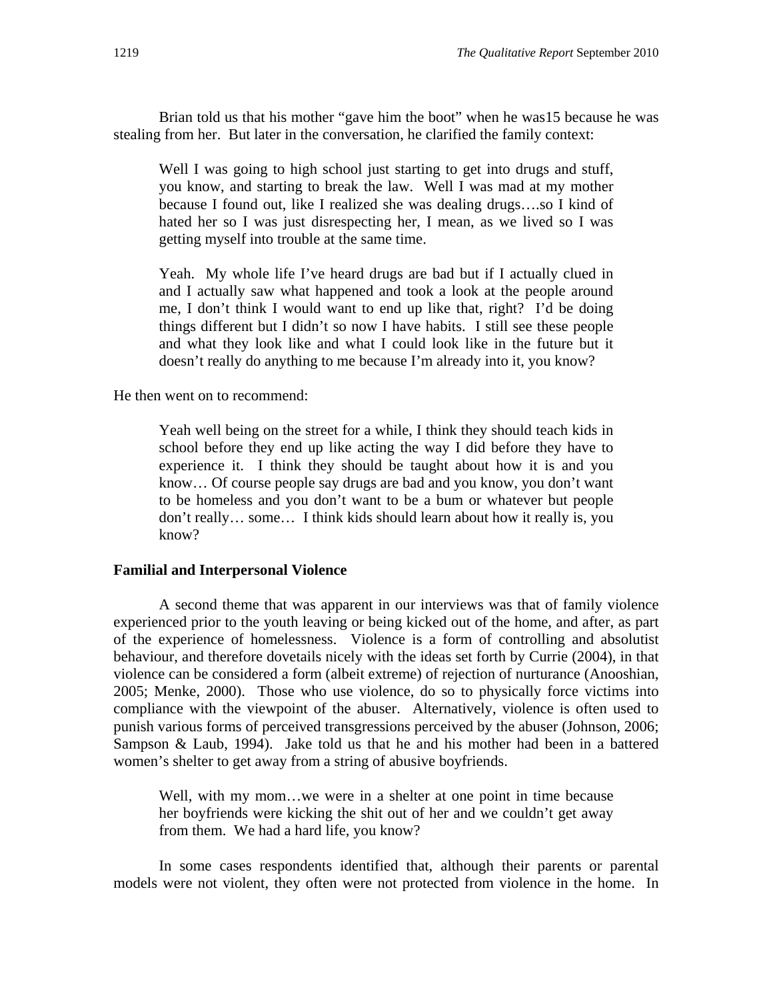Brian told us that his mother "gave him the boot" when he was15 because he was stealing from her. But later in the conversation, he clarified the family context:

Well I was going to high school just starting to get into drugs and stuff, you know, and starting to break the law. Well I was mad at my mother because I found out, like I realized she was dealing drugs….so I kind of hated her so I was just disrespecting her, I mean, as we lived so I was getting myself into trouble at the same time.

Yeah. My whole life I've heard drugs are bad but if I actually clued in and I actually saw what happened and took a look at the people around me, I don't think I would want to end up like that, right? I'd be doing things different but I didn't so now I have habits. I still see these people and what they look like and what I could look like in the future but it doesn't really do anything to me because I'm already into it, you know?

He then went on to recommend:

Yeah well being on the street for a while, I think they should teach kids in school before they end up like acting the way I did before they have to experience it. I think they should be taught about how it is and you know… Of course people say drugs are bad and you know, you don't want to be homeless and you don't want to be a bum or whatever but people don't really… some… I think kids should learn about how it really is, you know?

#### **Familial and Interpersonal Violence**

A second theme that was apparent in our interviews was that of family violence experienced prior to the youth leaving or being kicked out of the home, and after, as part of the experience of homelessness. Violence is a form of controlling and absolutist behaviour, and therefore dovetails nicely with the ideas set forth by Currie (2004), in that violence can be considered a form (albeit extreme) of rejection of nurturance (Anooshian, 2005; Menke, 2000). Those who use violence, do so to physically force victims into compliance with the viewpoint of the abuser. Alternatively, violence is often used to punish various forms of perceived transgressions perceived by the abuser (Johnson, 2006; Sampson & Laub, 1994). Jake told us that he and his mother had been in a battered women's shelter to get away from a string of abusive boyfriends.

Well, with my mom…we were in a shelter at one point in time because her boyfriends were kicking the shit out of her and we couldn't get away from them. We had a hard life, you know?

In some cases respondents identified that, although their parents or parental models were not violent, they often were not protected from violence in the home. In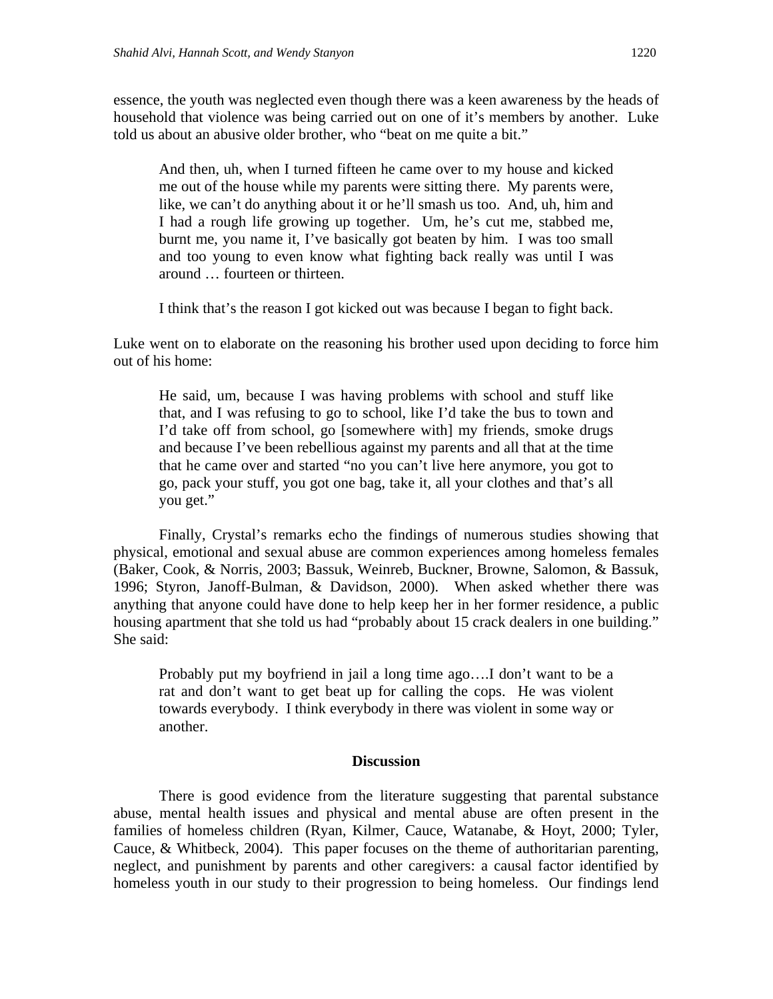essence, the youth was neglected even though there was a keen awareness by the heads of household that violence was being carried out on one of it's members by another. Luke told us about an abusive older brother, who "beat on me quite a bit."

And then, uh, when I turned fifteen he came over to my house and kicked me out of the house while my parents were sitting there. My parents were, like, we can't do anything about it or he'll smash us too. And, uh, him and I had a rough life growing up together. Um, he's cut me, stabbed me, burnt me, you name it, I've basically got beaten by him. I was too small and too young to even know what fighting back really was until I was around … fourteen or thirteen.

I think that's the reason I got kicked out was because I began to fight back.

Luke went on to elaborate on the reasoning his brother used upon deciding to force him out of his home:

He said, um, because I was having problems with school and stuff like that, and I was refusing to go to school, like I'd take the bus to town and I'd take off from school, go [somewhere with] my friends, smoke drugs and because I've been rebellious against my parents and all that at the time that he came over and started "no you can't live here anymore, you got to go, pack your stuff, you got one bag, take it, all your clothes and that's all you get."

Finally, Crystal's remarks echo the findings of numerous studies showing that physical, emotional and sexual abuse are common experiences among homeless females (Baker, Cook, & Norris, 2003; Bassuk, Weinreb, Buckner, Browne, Salomon, & Bassuk, 1996; Styron, Janoff-Bulman, & Davidson, 2000). When asked whether there was anything that anyone could have done to help keep her in her former residence, a public housing apartment that she told us had "probably about 15 crack dealers in one building." She said:

Probably put my boyfriend in jail a long time ago….I don't want to be a rat and don't want to get beat up for calling the cops. He was violent towards everybody. I think everybody in there was violent in some way or another.

#### **Discussion**

There is good evidence from the literature suggesting that parental substance abuse, mental health issues and physical and mental abuse are often present in the families of homeless children (Ryan, Kilmer, Cauce, Watanabe, & Hoyt, 2000; Tyler, Cauce, & Whitbeck, 2004). This paper focuses on the theme of authoritarian parenting, neglect, and punishment by parents and other caregivers: a causal factor identified by homeless youth in our study to their progression to being homeless. Our findings lend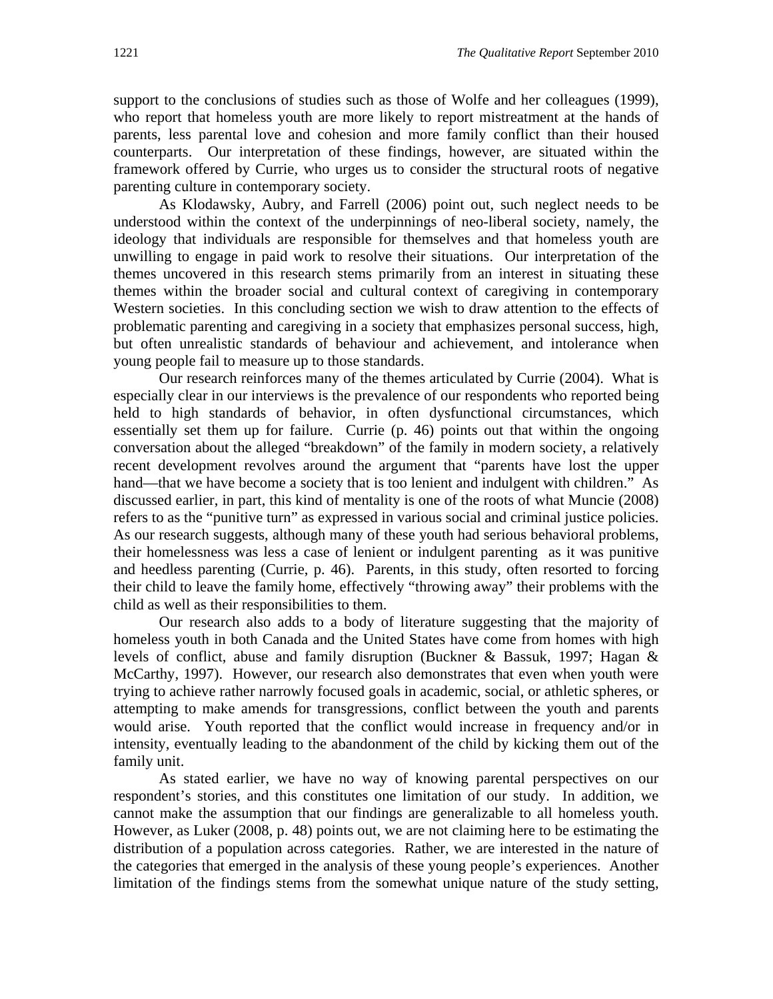support to the conclusions of studies such as those of Wolfe and her colleagues (1999), who report that homeless youth are more likely to report mistreatment at the hands of parents, less parental love and cohesion and more family conflict than their housed counterparts. Our interpretation of these findings, however, are situated within the framework offered by Currie, who urges us to consider the structural roots of negative parenting culture in contemporary society.

As Klodawsky, Aubry, and Farrell (2006) point out, such neglect needs to be understood within the context of the underpinnings of neo-liberal society, namely, the ideology that individuals are responsible for themselves and that homeless youth are unwilling to engage in paid work to resolve their situations. Our interpretation of the themes uncovered in this research stems primarily from an interest in situating these themes within the broader social and cultural context of caregiving in contemporary Western societies. In this concluding section we wish to draw attention to the effects of problematic parenting and caregiving in a society that emphasizes personal success, high, but often unrealistic standards of behaviour and achievement, and intolerance when young people fail to measure up to those standards.

Our research reinforces many of the themes articulated by Currie (2004). What is especially clear in our interviews is the prevalence of our respondents who reported being held to high standards of behavior, in often dysfunctional circumstances, which essentially set them up for failure. Currie (p. 46) points out that within the ongoing conversation about the alleged "breakdown" of the family in modern society, a relatively recent development revolves around the argument that "parents have lost the upper hand—that we have become a society that is too lenient and indulgent with children." As discussed earlier, in part, this kind of mentality is one of the roots of what Muncie (2008) refers to as the "punitive turn" as expressed in various social and criminal justice policies. As our research suggests, although many of these youth had serious behavioral problems, their homelessness was less a case of lenient or indulgent parenting as it was punitive and heedless parenting (Currie, p. 46). Parents, in this study, often resorted to forcing their child to leave the family home, effectively "throwing away" their problems with the child as well as their responsibilities to them.

Our research also adds to a body of literature suggesting that the majority of homeless youth in both Canada and the United States have come from homes with high levels of conflict, abuse and family disruption (Buckner & Bassuk, 1997; Hagan & McCarthy, 1997). However, our research also demonstrates that even when youth were trying to achieve rather narrowly focused goals in academic, social, or athletic spheres, or attempting to make amends for transgressions, conflict between the youth and parents would arise. Youth reported that the conflict would increase in frequency and/or in intensity, eventually leading to the abandonment of the child by kicking them out of the family unit.

As stated earlier, we have no way of knowing parental perspectives on our respondent's stories, and this constitutes one limitation of our study. In addition, we cannot make the assumption that our findings are generalizable to all homeless youth. However, as Luker (2008, p. 48) points out, we are not claiming here to be estimating the distribution of a population across categories. Rather, we are interested in the nature of the categories that emerged in the analysis of these young people's experiences. Another limitation of the findings stems from the somewhat unique nature of the study setting,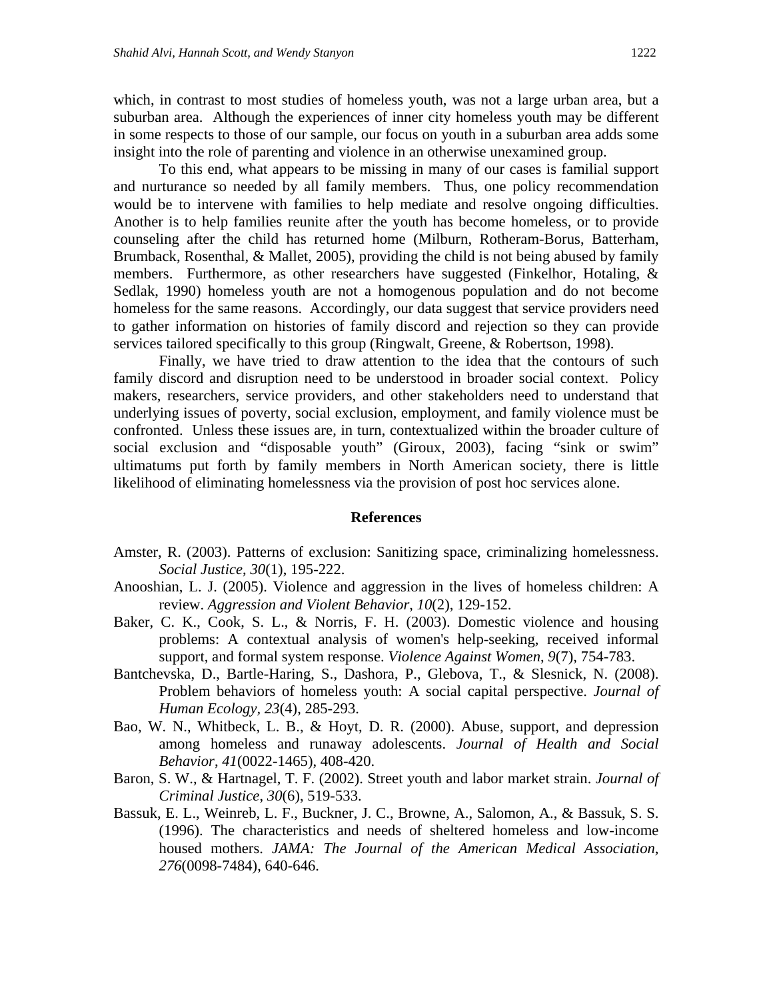which, in contrast to most studies of homeless youth, was not a large urban area, but a suburban area. Although the experiences of inner city homeless youth may be different in some respects to those of our sample, our focus on youth in a suburban area adds some insight into the role of parenting and violence in an otherwise unexamined group.

To this end, what appears to be missing in many of our cases is familial support and nurturance so needed by all family members. Thus, one policy recommendation would be to intervene with families to help mediate and resolve ongoing difficulties. Another is to help families reunite after the youth has become homeless, or to provide counseling after the child has returned home (Milburn, Rotheram-Borus, Batterham, Brumback, Rosenthal, & Mallet, 2005), providing the child is not being abused by family members. Furthermore, as other researchers have suggested (Finkelhor, Hotaling, & Sedlak, 1990) homeless youth are not a homogenous population and do not become homeless for the same reasons. Accordingly, our data suggest that service providers need to gather information on histories of family discord and rejection so they can provide services tailored specifically to this group (Ringwalt, Greene, & Robertson, 1998).

Finally, we have tried to draw attention to the idea that the contours of such family discord and disruption need to be understood in broader social context. Policy makers, researchers, service providers, and other stakeholders need to understand that underlying issues of poverty, social exclusion, employment, and family violence must be confronted. Unless these issues are, in turn, contextualized within the broader culture of social exclusion and "disposable youth" (Giroux, 2003), facing "sink or swim" ultimatums put forth by family members in North American society, there is little likelihood of eliminating homelessness via the provision of post hoc services alone.

#### **References**

- Amster, R. (2003). Patterns of exclusion: Sanitizing space, criminalizing homelessness. *Social Justice*, *30*(1), 195-222.
- Anooshian, L. J. (2005). Violence and aggression in the lives of homeless children: A review. *Aggression and Violent Behavior*, *10*(2), 129-152.
- Baker, C. K., Cook, S. L., & Norris, F. H. (2003). Domestic violence and housing problems: A contextual analysis of women's help-seeking, received informal support, and formal system response. *Violence Against Women*, *9*(7), 754-783.
- Bantchevska, D., Bartle-Haring, S., Dashora, P., Glebova, T., & Slesnick, N. (2008). Problem behaviors of homeless youth: A social capital perspective. *Journal of Human Ecology, 23*(4), 285-293.
- Bao, W. N., Whitbeck, L. B., & Hoyt, D. R. (2000). Abuse, support, and depression among homeless and runaway adolescents. *Journal of Health and Social Behavior*, *41*(0022-1465), 408-420.
- Baron, S. W., & Hartnagel, T. F. (2002). Street youth and labor market strain. *Journal of Criminal Justice*, *30*(6), 519-533.
- Bassuk, E. L., Weinreb, L. F., Buckner, J. C., Browne, A., Salomon, A., & Bassuk, S. S. (1996). The characteristics and needs of sheltered homeless and low-income housed mothers. *JAMA: The Journal of the American Medical Association*, *276*(0098-7484), 640-646.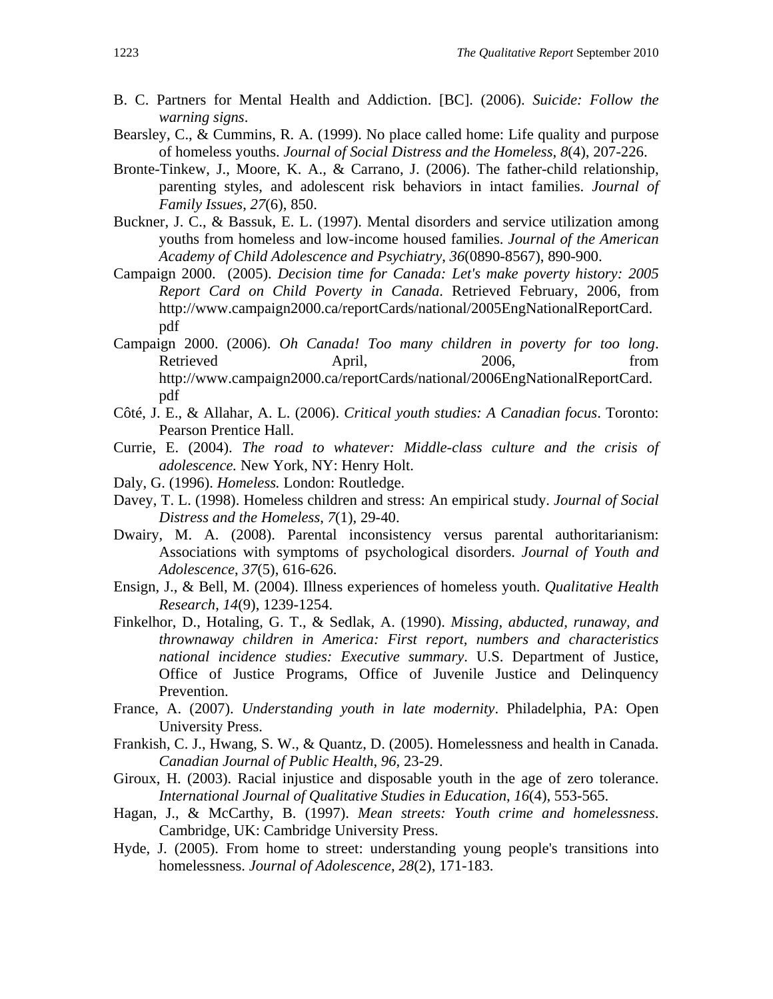- B. C. Partners for Mental Health and Addiction. [BC]. (2006). *Suicide: Follow the warning signs*.
- Bearsley, C., & Cummins, R. A. (1999). No place called home: Life quality and purpose of homeless youths. *Journal of Social Distress and the Homeless*, *8*(4), 207-226.
- Bronte-Tinkew, J., Moore, K. A., & Carrano, J. (2006). The father-child relationship, parenting styles, and adolescent risk behaviors in intact families. *Journal of Family Issues*, *27*(6), 850.
- Buckner, J. C., & Bassuk, E. L. (1997). Mental disorders and service utilization among youths from homeless and low-income housed families. *Journal of the American Academy of Child Adolescence and Psychiatry*, *36*(0890-8567), 890-900.
- Campaign 2000. (2005). *Decision time for Canada: Let's make poverty history: 2005 Report Card on Child Poverty in Canada*. Retrieved February, 2006, from http://www.campaign2000.ca/reportCards/national/2005EngNationalReportCard. pdf
- Campaign 2000. (2006). *Oh Canada! Too many children in poverty for too long*. Retrieved April, 2006, from http://www.campaign2000.ca/reportCards/national/2006EngNationalReportCard. pdf
- Côté, J. E., & Allahar, A. L. (2006). *Critical youth studies: A Canadian focus*. Toronto: Pearson Prentice Hall.
- Currie, E. (2004). *The road to whatever: Middle-class culture and the crisis of adolescence.* New York, NY: Henry Holt.
- Daly, G. (1996). *Homeless.* London: Routledge.
- Davey, T. L. (1998). Homeless children and stress: An empirical study. *Journal of Social Distress and the Homeless*, *7*(1), 29-40.
- Dwairy, M. A. (2008). Parental inconsistency versus parental authoritarianism: Associations with symptoms of psychological disorders. *Journal of Youth and Adolescence*, *37*(5), 616-626.
- Ensign, J., & Bell, M. (2004). Illness experiences of homeless youth. *Qualitative Health Research*, *14*(9), 1239-1254.
- Finkelhor, D., Hotaling, G. T., & Sedlak, A. (1990). *Missing, abducted, runaway, and thrownaway children in America: First report, numbers and characteristics national incidence studies: Executive summary*. U.S. Department of Justice, Office of Justice Programs, Office of Juvenile Justice and Delinquency Prevention.
- France, A. (2007). *Understanding youth in late modernity*. Philadelphia, PA: Open University Press.
- Frankish, C. J., Hwang, S. W., & Quantz, D. (2005). Homelessness and health in Canada. *Canadian Journal of Public Health*, *96*, 23-29.
- Giroux, H. (2003). Racial injustice and disposable youth in the age of zero tolerance. *International Journal of Qualitative Studies in Education*, *16*(4), 553-565.
- Hagan, J., & McCarthy, B. (1997). *Mean streets: Youth crime and homelessness*. Cambridge, UK: Cambridge University Press.
- Hyde, J. (2005). From home to street: understanding young people's transitions into homelessness. *Journal of Adolescence*, *28*(2), 171-183.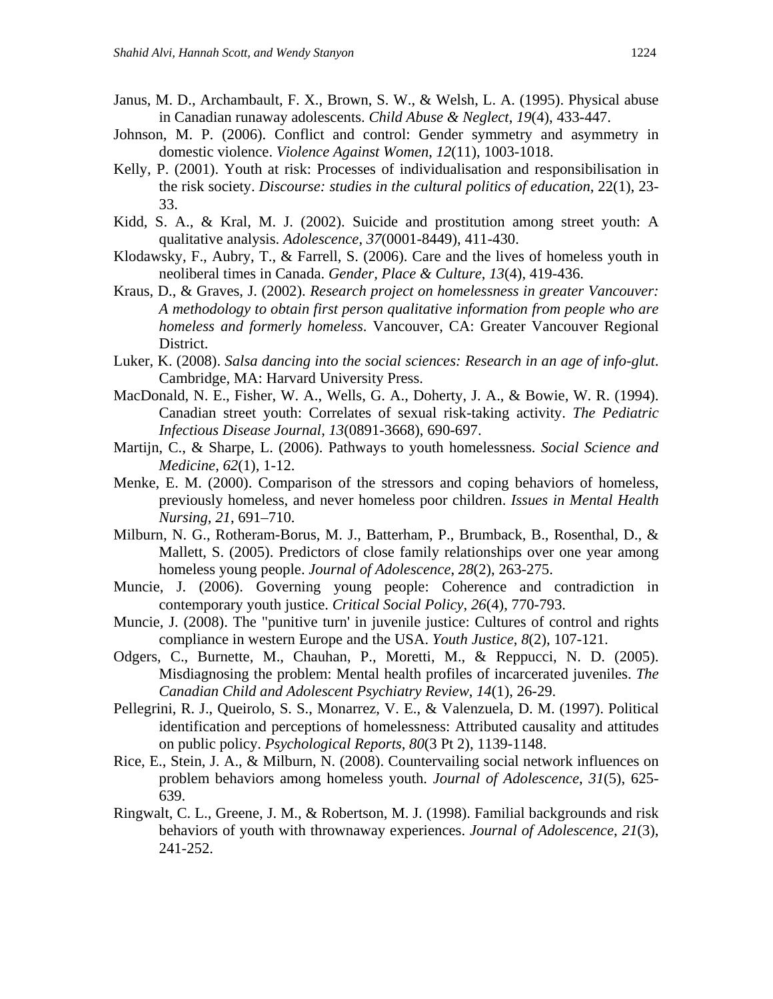- Janus, M. D., Archambault, F. X., Brown, S. W., & Welsh, L. A. (1995). Physical abuse in Canadian runaway adolescents. *Child Abuse & Neglect*, *19*(4), 433-447.
- Johnson, M. P. (2006). Conflict and control: Gender symmetry and asymmetry in domestic violence. *Violence Against Women*, *12*(11), 1003-1018.
- Kelly, P. (2001). Youth at risk: Processes of individualisation and responsibilisation in the risk society. *Discourse: studies in the cultural politics of education*, 22(1), 23- 33.
- Kidd, S. A., & Kral, M. J. (2002). Suicide and prostitution among street youth: A qualitative analysis. *Adolescence*, *37*(0001-8449), 411-430.
- Klodawsky, F., Aubry, T., & Farrell, S. (2006). Care and the lives of homeless youth in neoliberal times in Canada. *Gender, Place & Culture*, *13*(4), 419-436.
- Kraus, D., & Graves, J. (2002). *Research project on homelessness in greater Vancouver: A methodology to obtain first person qualitative information from people who are homeless and formerly homeless*. Vancouver, CA: Greater Vancouver Regional District.
- Luker, K. (2008). *Salsa dancing into the social sciences: Research in an age of info-glut*. Cambridge, MA: Harvard University Press.
- MacDonald, N. E., Fisher, W. A., Wells, G. A., Doherty, J. A., & Bowie, W. R. (1994). Canadian street youth: Correlates of sexual risk-taking activity. *The Pediatric Infectious Disease Journal*, *13*(0891-3668), 690-697.
- Martijn, C., & Sharpe, L. (2006). Pathways to youth homelessness. *Social Science and Medicine*, *62*(1), 1-12.
- Menke, E. M. (2000). Comparison of the stressors and coping behaviors of homeless, previously homeless, and never homeless poor children. *Issues in Mental Health Nursing*, *21*, 691–710.
- Milburn, N. G., Rotheram-Borus, M. J., Batterham, P., Brumback, B., Rosenthal, D., & Mallett, S. (2005). Predictors of close family relationships over one year among homeless young people. *Journal of Adolescence*, *28*(2), 263-275.
- Muncie, J. (2006). Governing young people: Coherence and contradiction in contemporary youth justice. *Critical Social Policy*, *26*(4), 770-793.
- Muncie, J. (2008). The "punitive turn' in juvenile justice: Cultures of control and rights compliance in western Europe and the USA. *Youth Justice*, *8*(2), 107-121.
- Odgers, C., Burnette, M., Chauhan, P., Moretti, M., & Reppucci, N. D. (2005). Misdiagnosing the problem: Mental health profiles of incarcerated juveniles. *The Canadian Child and Adolescent Psychiatry Review*, *14*(1), 26-29.
- Pellegrini, R. J., Queirolo, S. S., Monarrez, V. E., & Valenzuela, D. M. (1997). Political identification and perceptions of homelessness: Attributed causality and attitudes on public policy. *Psychological Reports*, *80*(3 Pt 2), 1139-1148.
- Rice, E., Stein, J. A., & Milburn, N. (2008). Countervailing social network influences on problem behaviors among homeless youth. *Journal of Adolescence*, *31*(5), 625- 639.
- Ringwalt, C. L., Greene, J. M., & Robertson, M. J. (1998). Familial backgrounds and risk behaviors of youth with thrownaway experiences. *Journal of Adolescence*, *21*(3), 241-252.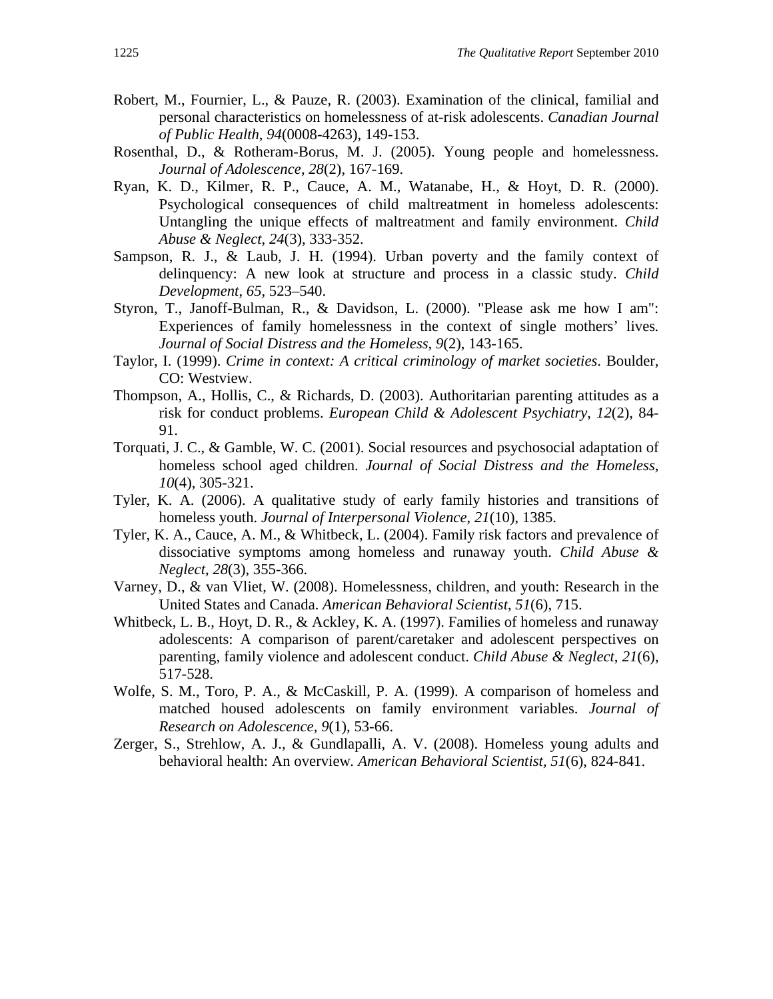- Robert, M., Fournier, L., & Pauze, R. (2003). Examination of the clinical, familial and personal characteristics on homelessness of at-risk adolescents. *Canadian Journal of Public Health*, *94*(0008-4263), 149-153.
- Rosenthal, D., & Rotheram-Borus, M. J. (2005). Young people and homelessness. *Journal of Adolescence*, *28*(2), 167-169.
- Ryan, K. D., Kilmer, R. P., Cauce, A. M., Watanabe, H., & Hoyt, D. R. (2000). Psychological consequences of child maltreatment in homeless adolescents: Untangling the unique effects of maltreatment and family environment. *Child Abuse & Neglect*, *24*(3), 333-352.
- Sampson, R. J., & Laub, J. H. (1994). Urban poverty and the family context of delinquency: A new look at structure and process in a classic study. *Child Development*, *65*, 523–540.
- Styron, T., Janoff-Bulman, R., & Davidson, L. (2000). "Please ask me how I am": Experiences of family homelessness in the context of single mothers' lives*. Journal of Social Distress and the Homeless*, *9*(2), 143-165.
- Taylor, I. (1999). *Crime in context: A critical criminology of market societies*. Boulder, CO: Westview.
- Thompson, A., Hollis, C., & Richards, D. (2003). Authoritarian parenting attitudes as a risk for conduct problems. *European Child & Adolescent Psychiatry*, *12*(2), 84- 91.
- Torquati, J. C., & Gamble, W. C. (2001). Social resources and psychosocial adaptation of homeless school aged children. *Journal of Social Distress and the Homeless*, *10*(4), 305-321.
- Tyler, K. A. (2006). A qualitative study of early family histories and transitions of homeless youth. *Journal of Interpersonal Violence*, *21*(10), 1385.
- Tyler, K. A., Cauce, A. M., & Whitbeck, L. (2004). Family risk factors and prevalence of dissociative symptoms among homeless and runaway youth. *Child Abuse & Neglect*, *28*(3), 355-366.
- Varney, D., & van Vliet, W. (2008). Homelessness, children, and youth: Research in the United States and Canada. *American Behavioral Scientist*, *51*(6), 715.
- Whitbeck, L. B., Hoyt, D. R., & Ackley, K. A. (1997). Families of homeless and runaway adolescents: A comparison of parent/caretaker and adolescent perspectives on parenting, family violence and adolescent conduct. *Child Abuse & Neglect*, *21*(6), 517-528.
- Wolfe, S. M., Toro, P. A., & McCaskill, P. A. (1999). A comparison of homeless and matched housed adolescents on family environment variables. *Journal of Research on Adolescence*, *9*(1), 53-66.
- Zerger, S., Strehlow, A. J., & Gundlapalli, A. V. (2008). Homeless young adults and behavioral health: An overview*. American Behavioral Scientist, 51*(6), 824-841.